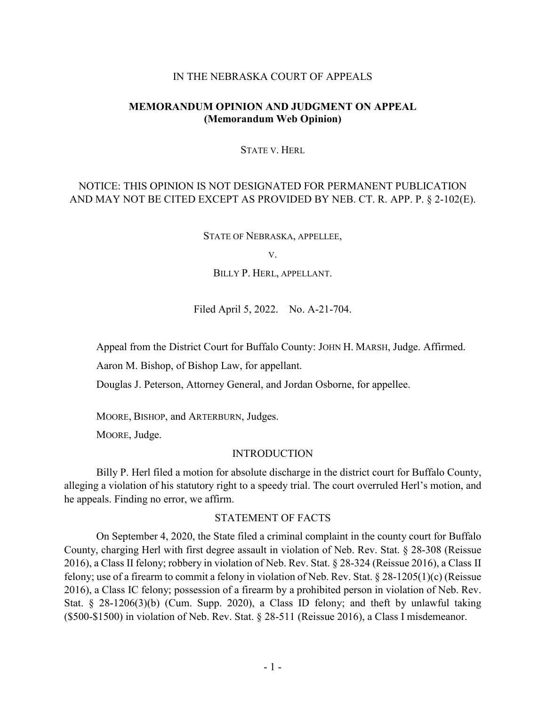#### IN THE NEBRASKA COURT OF APPEALS

## **MEMORANDUM OPINION AND JUDGMENT ON APPEAL (Memorandum Web Opinion)**

#### STATE V. HERL

# NOTICE: THIS OPINION IS NOT DESIGNATED FOR PERMANENT PUBLICATION AND MAY NOT BE CITED EXCEPT AS PROVIDED BY NEB. CT. R. APP. P. § 2-102(E).

STATE OF NEBRASKA, APPELLEE,

V.

BILLY P. HERL, APPELLANT.

Filed April 5, 2022. No. A-21-704.

Appeal from the District Court for Buffalo County: JOHN H. MARSH, Judge. Affirmed.

Aaron M. Bishop, of Bishop Law, for appellant.

Douglas J. Peterson, Attorney General, and Jordan Osborne, for appellee.

MOORE, BISHOP, and ARTERBURN, Judges.

MOORE, Judge.

#### INTRODUCTION

Billy P. Herl filed a motion for absolute discharge in the district court for Buffalo County, alleging a violation of his statutory right to a speedy trial. The court overruled Herl's motion, and he appeals. Finding no error, we affirm.

## STATEMENT OF FACTS

On September 4, 2020, the State filed a criminal complaint in the county court for Buffalo County, charging Herl with first degree assault in violation of Neb. Rev. Stat. § 28-308 (Reissue 2016), a Class II felony; robbery in violation of Neb. Rev. Stat. § 28-324 (Reissue 2016), a Class II felony; use of a firearm to commit a felony in violation of Neb. Rev. Stat. § 28-1205(1)(c) (Reissue 2016), a Class IC felony; possession of a firearm by a prohibited person in violation of Neb. Rev. Stat. § 28-1206(3)(b) (Cum. Supp. 2020), a Class ID felony; and theft by unlawful taking (\$500-\$1500) in violation of Neb. Rev. Stat. § 28-511 (Reissue 2016), a Class I misdemeanor.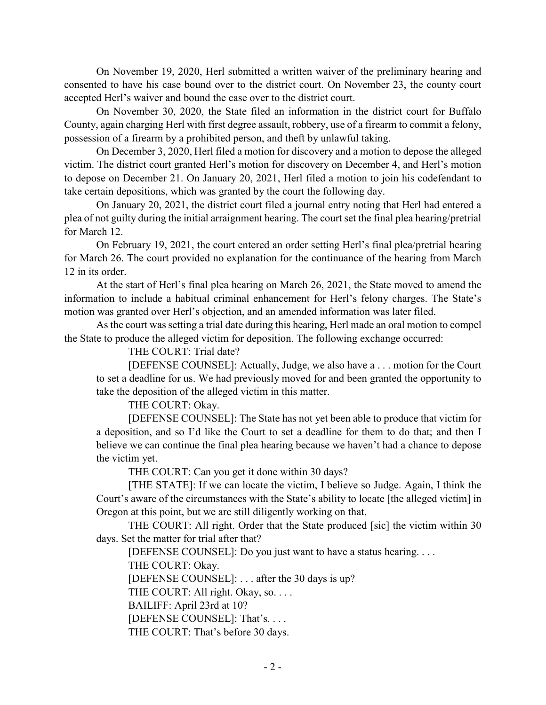On November 19, 2020, Herl submitted a written waiver of the preliminary hearing and consented to have his case bound over to the district court. On November 23, the county court accepted Herl's waiver and bound the case over to the district court.

On November 30, 2020, the State filed an information in the district court for Buffalo County, again charging Herl with first degree assault, robbery, use of a firearm to commit a felony, possession of a firearm by a prohibited person, and theft by unlawful taking.

On December 3, 2020, Herl filed a motion for discovery and a motion to depose the alleged victim. The district court granted Herl's motion for discovery on December 4, and Herl's motion to depose on December 21. On January 20, 2021, Herl filed a motion to join his codefendant to take certain depositions, which was granted by the court the following day.

On January 20, 2021, the district court filed a journal entry noting that Herl had entered a plea of not guilty during the initial arraignment hearing. The court set the final plea hearing/pretrial for March 12.

On February 19, 2021, the court entered an order setting Herl's final plea/pretrial hearing for March 26. The court provided no explanation for the continuance of the hearing from March 12 in its order.

At the start of Herl's final plea hearing on March 26, 2021, the State moved to amend the information to include a habitual criminal enhancement for Herl's felony charges. The State's motion was granted over Herl's objection, and an amended information was later filed.

As the court was setting a trial date during this hearing, Herl made an oral motion to compel the State to produce the alleged victim for deposition. The following exchange occurred:

THE COURT: Trial date?

[DEFENSE COUNSEL]: Actually, Judge, we also have a . . . motion for the Court to set a deadline for us. We had previously moved for and been granted the opportunity to take the deposition of the alleged victim in this matter.

THE COURT: Okay.

[DEFENSE COUNSEL]: The State has not yet been able to produce that victim for a deposition, and so I'd like the Court to set a deadline for them to do that; and then I believe we can continue the final plea hearing because we haven't had a chance to depose the victim yet.

THE COURT: Can you get it done within 30 days?

[THE STATE]: If we can locate the victim, I believe so Judge. Again, I think the Court's aware of the circumstances with the State's ability to locate [the alleged victim] in Oregon at this point, but we are still diligently working on that.

THE COURT: All right. Order that the State produced [sic] the victim within 30 days. Set the matter for trial after that?

[DEFENSE COUNSEL]: Do you just want to have a status hearing. . . .

THE COURT: Okay.

[DEFENSE COUNSEL]: . . . after the 30 days is up?

THE COURT: All right. Okay, so. . . .

BAILIFF: April 23rd at 10?

[DEFENSE COUNSEL]: That's....

THE COURT: That's before 30 days.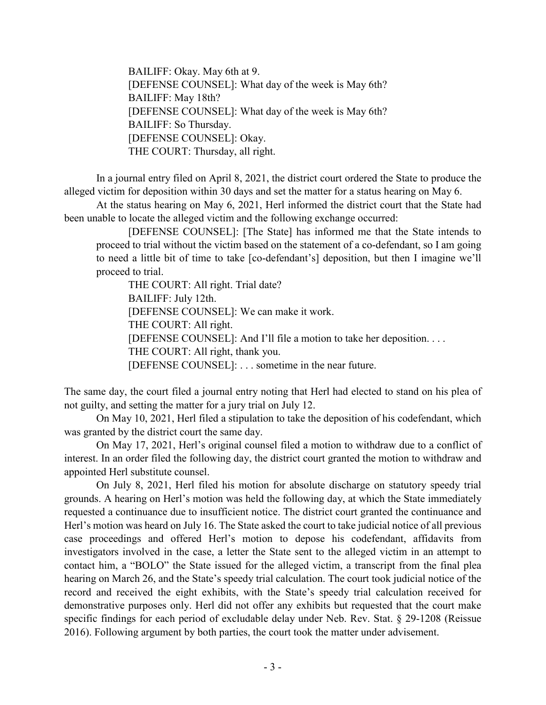BAILIFF: Okay. May 6th at 9. [DEFENSE COUNSEL]: What day of the week is May 6th? BAILIFF: May 18th? [DEFENSE COUNSEL]: What day of the week is May 6th? BAILIFF: So Thursday. [DEFENSE COUNSEL]: Okay. THE COURT: Thursday, all right.

In a journal entry filed on April 8, 2021, the district court ordered the State to produce the alleged victim for deposition within 30 days and set the matter for a status hearing on May 6.

At the status hearing on May 6, 2021, Herl informed the district court that the State had been unable to locate the alleged victim and the following exchange occurred:

[DEFENSE COUNSEL]: [The State] has informed me that the State intends to proceed to trial without the victim based on the statement of a co-defendant, so I am going to need a little bit of time to take [co-defendant's] deposition, but then I imagine we'll proceed to trial.

THE COURT: All right. Trial date? BAILIFF: July 12th. [DEFENSE COUNSEL]: We can make it work. THE COURT: All right. [DEFENSE COUNSEL]: And I'll file a motion to take her deposition. . . . THE COURT: All right, thank you. [DEFENSE COUNSEL]: . . . sometime in the near future.

The same day, the court filed a journal entry noting that Herl had elected to stand on his plea of not guilty, and setting the matter for a jury trial on July 12.

On May 10, 2021, Herl filed a stipulation to take the deposition of his codefendant, which was granted by the district court the same day.

On May 17, 2021, Herl's original counsel filed a motion to withdraw due to a conflict of interest. In an order filed the following day, the district court granted the motion to withdraw and appointed Herl substitute counsel.

On July 8, 2021, Herl filed his motion for absolute discharge on statutory speedy trial grounds. A hearing on Herl's motion was held the following day, at which the State immediately requested a continuance due to insufficient notice. The district court granted the continuance and Herl's motion was heard on July 16. The State asked the court to take judicial notice of all previous case proceedings and offered Herl's motion to depose his codefendant, affidavits from investigators involved in the case, a letter the State sent to the alleged victim in an attempt to contact him, a "BOLO" the State issued for the alleged victim, a transcript from the final plea hearing on March 26, and the State's speedy trial calculation. The court took judicial notice of the record and received the eight exhibits, with the State's speedy trial calculation received for demonstrative purposes only. Herl did not offer any exhibits but requested that the court make specific findings for each period of excludable delay under Neb. Rev. Stat. § 29-1208 (Reissue 2016). Following argument by both parties, the court took the matter under advisement.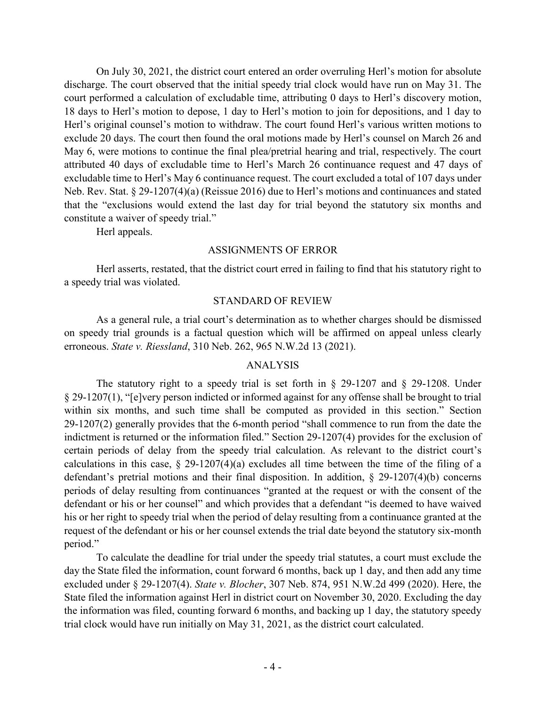On July 30, 2021, the district court entered an order overruling Herl's motion for absolute discharge. The court observed that the initial speedy trial clock would have run on May 31. The court performed a calculation of excludable time, attributing 0 days to Herl's discovery motion, 18 days to Herl's motion to depose, 1 day to Herl's motion to join for depositions, and 1 day to Herl's original counsel's motion to withdraw. The court found Herl's various written motions to exclude 20 days. The court then found the oral motions made by Herl's counsel on March 26 and May 6, were motions to continue the final plea/pretrial hearing and trial, respectively. The court attributed 40 days of excludable time to Herl's March 26 continuance request and 47 days of excludable time to Herl's May 6 continuance request. The court excluded a total of 107 days under Neb. Rev. Stat. § 29-1207(4)(a) (Reissue 2016) due to Herl's motions and continuances and stated that the "exclusions would extend the last day for trial beyond the statutory six months and constitute a waiver of speedy trial."

Herl appeals.

## ASSIGNMENTS OF ERROR

Herl asserts, restated, that the district court erred in failing to find that his statutory right to a speedy trial was violated.

## STANDARD OF REVIEW

As a general rule, a trial court's determination as to whether charges should be dismissed on speedy trial grounds is a factual question which will be affirmed on appeal unless clearly erroneous. *State v. Riessland*, 310 Neb. 262, 965 N.W.2d 13 (2021).

## ANALYSIS

The statutory right to a speedy trial is set forth in  $\S$  29-1207 and  $\S$  29-1208. Under § 29-1207(1), "[e]very person indicted or informed against for any offense shall be brought to trial within six months, and such time shall be computed as provided in this section." Section 29-1207(2) generally provides that the 6-month period "shall commence to run from the date the indictment is returned or the information filed." Section 29-1207(4) provides for the exclusion of certain periods of delay from the speedy trial calculation. As relevant to the district court's calculations in this case, § 29-1207(4)(a) excludes all time between the time of the filing of a defendant's pretrial motions and their final disposition. In addition, § 29-1207(4)(b) concerns periods of delay resulting from continuances "granted at the request or with the consent of the defendant or his or her counsel" and which provides that a defendant "is deemed to have waived his or her right to speedy trial when the period of delay resulting from a continuance granted at the request of the defendant or his or her counsel extends the trial date beyond the statutory six-month period."

To calculate the deadline for trial under the speedy trial statutes, a court must exclude the day the State filed the information, count forward 6 months, back up 1 day, and then add any time excluded under § 29-1207(4). *State v. Blocher*, 307 Neb. 874, 951 N.W.2d 499 (2020). Here, the State filed the information against Herl in district court on November 30, 2020. Excluding the day the information was filed, counting forward 6 months, and backing up 1 day, the statutory speedy trial clock would have run initially on May 31, 2021, as the district court calculated.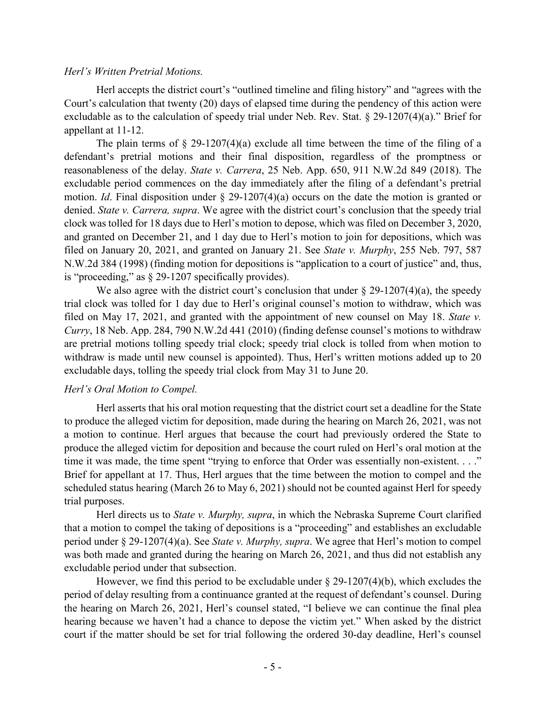#### *Herl's Written Pretrial Motions.*

Herl accepts the district court's "outlined timeline and filing history" and "agrees with the Court's calculation that twenty (20) days of elapsed time during the pendency of this action were excludable as to the calculation of speedy trial under Neb. Rev. Stat. § 29-1207(4)(a)." Brief for appellant at 11-12.

The plain terms of  $\S$  29-1207(4)(a) exclude all time between the time of the filing of a defendant's pretrial motions and their final disposition, regardless of the promptness or reasonableness of the delay. *State v. Carrera*, 25 Neb. App. 650, 911 N.W.2d 849 (2018). The excludable period commences on the day immediately after the filing of a defendant's pretrial motion. *Id*. Final disposition under § 29-1207(4)(a) occurs on the date the motion is granted or denied. *State v. Carrera, supra*. We agree with the district court's conclusion that the speedy trial clock was tolled for 18 days due to Herl's motion to depose, which was filed on December 3, 2020, and granted on December 21, and 1 day due to Herl's motion to join for depositions, which was filed on January 20, 2021, and granted on January 21. See *State v. Murphy*, 255 Neb. 797, 587 N.W.2d 384 (1998) (finding motion for depositions is "application to a court of justice" and, thus, is "proceeding," as § 29-1207 specifically provides).

We also agree with the district court's conclusion that under  $\S 29-1207(4)(a)$ , the speedy trial clock was tolled for 1 day due to Herl's original counsel's motion to withdraw, which was filed on May 17, 2021, and granted with the appointment of new counsel on May 18. *State v. Curry*, 18 Neb. App. 284, 790 N.W.2d 441 (2010) (finding defense counsel's motions to withdraw are pretrial motions tolling speedy trial clock; speedy trial clock is tolled from when motion to withdraw is made until new counsel is appointed). Thus, Herl's written motions added up to 20 excludable days, tolling the speedy trial clock from May 31 to June 20.

## *Herl's Oral Motion to Compel.*

Herl asserts that his oral motion requesting that the district court set a deadline for the State to produce the alleged victim for deposition, made during the hearing on March 26, 2021, was not a motion to continue. Herl argues that because the court had previously ordered the State to produce the alleged victim for deposition and because the court ruled on Herl's oral motion at the time it was made, the time spent "trying to enforce that Order was essentially non-existent. . . ." Brief for appellant at 17. Thus, Herl argues that the time between the motion to compel and the scheduled status hearing (March 26 to May 6, 2021) should not be counted against Herl for speedy trial purposes.

Herl directs us to *State v. Murphy, supra*, in which the Nebraska Supreme Court clarified that a motion to compel the taking of depositions is a "proceeding" and establishes an excludable period under § 29-1207(4)(a). See *State v. Murphy, supra*. We agree that Herl's motion to compel was both made and granted during the hearing on March 26, 2021, and thus did not establish any excludable period under that subsection.

However, we find this period to be excludable under § 29-1207(4)(b), which excludes the period of delay resulting from a continuance granted at the request of defendant's counsel. During the hearing on March 26, 2021, Herl's counsel stated, "I believe we can continue the final plea hearing because we haven't had a chance to depose the victim yet." When asked by the district court if the matter should be set for trial following the ordered 30-day deadline, Herl's counsel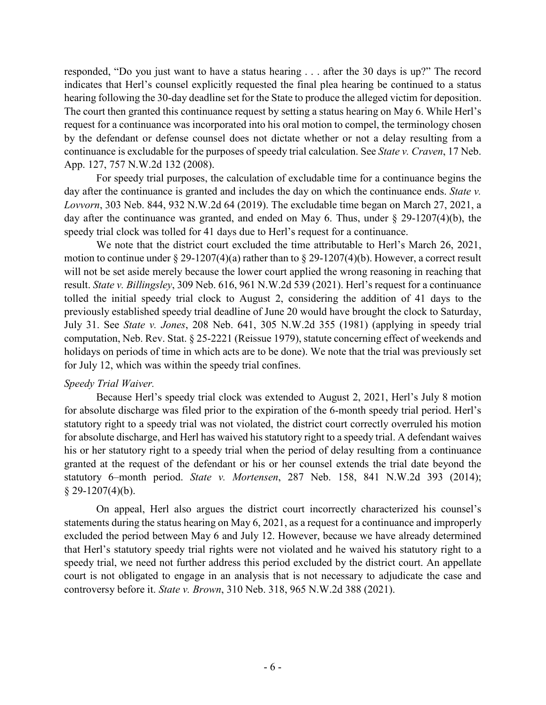responded, "Do you just want to have a status hearing . . . after the 30 days is up?" The record indicates that Herl's counsel explicitly requested the final plea hearing be continued to a status hearing following the 30-day deadline set for the State to produce the alleged victim for deposition. The court then granted this continuance request by setting a status hearing on May 6. While Herl's request for a continuance was incorporated into his oral motion to compel, the terminology chosen by the defendant or defense counsel does not dictate whether or not a delay resulting from a continuance is excludable for the purposes of speedy trial calculation. See *State v. Craven*, 17 Neb. App. 127, 757 N.W.2d 132 (2008).

For speedy trial purposes, the calculation of excludable time for a continuance begins the day after the continuance is granted and includes the day on which the continuance ends. *State v. Lovvorn*, 303 Neb. 844, 932 N.W.2d 64 (2019). The excludable time began on March 27, 2021, a day after the continuance was granted, and ended on May 6. Thus, under § 29-1207(4)(b), the speedy trial clock was tolled for 41 days due to Herl's request for a continuance.

We note that the district court excluded the time attributable to Herl's March 26, 2021, motion to continue under  $\S 29-1207(4)(a)$  rather than to  $\S 29-1207(4)(b)$ . However, a correct result will not be set aside merely because the lower court applied the wrong reasoning in reaching that result. *State v. Billingsley*, 309 Neb. 616, 961 N.W.2d 539 (2021). Herl's request for a continuance tolled the initial speedy trial clock to August 2, considering the addition of 41 days to the previously established speedy trial deadline of June 20 would have brought the clock to Saturday, July 31. See *State v. Jones*, 208 Neb. 641, 305 N.W.2d 355 (1981) (applying in speedy trial computation, Neb. Rev. Stat. § 25-2221 (Reissue 1979), statute concerning effect of weekends and holidays on periods of time in which acts are to be done). We note that the trial was previously set for July 12, which was within the speedy trial confines.

## *Speedy Trial Waiver.*

Because Herl's speedy trial clock was extended to August 2, 2021, Herl's July 8 motion for absolute discharge was filed prior to the expiration of the 6-month speedy trial period. Herl's statutory right to a speedy trial was not violated, the district court correctly overruled his motion for absolute discharge, and Herl has waived his statutory right to a speedy trial. A defendant waives his or her statutory right to a speedy trial when the period of delay resulting from a continuance granted at the request of the defendant or his or her counsel extends the trial date beyond the statutory 6–month period. *State v. Mortensen*, 287 Neb. 158, 841 N.W.2d 393 (2014);  $§$  29-1207(4)(b).

On appeal, Herl also argues the district court incorrectly characterized his counsel's statements during the status hearing on May 6, 2021, as a request for a continuance and improperly excluded the period between May 6 and July 12. However, because we have already determined that Herl's statutory speedy trial rights were not violated and he waived his statutory right to a speedy trial, we need not further address this period excluded by the district court. An appellate court is not obligated to engage in an analysis that is not necessary to adjudicate the case and controversy before it. *State v. Brown*, 310 Neb. 318, 965 N.W.2d 388 (2021).